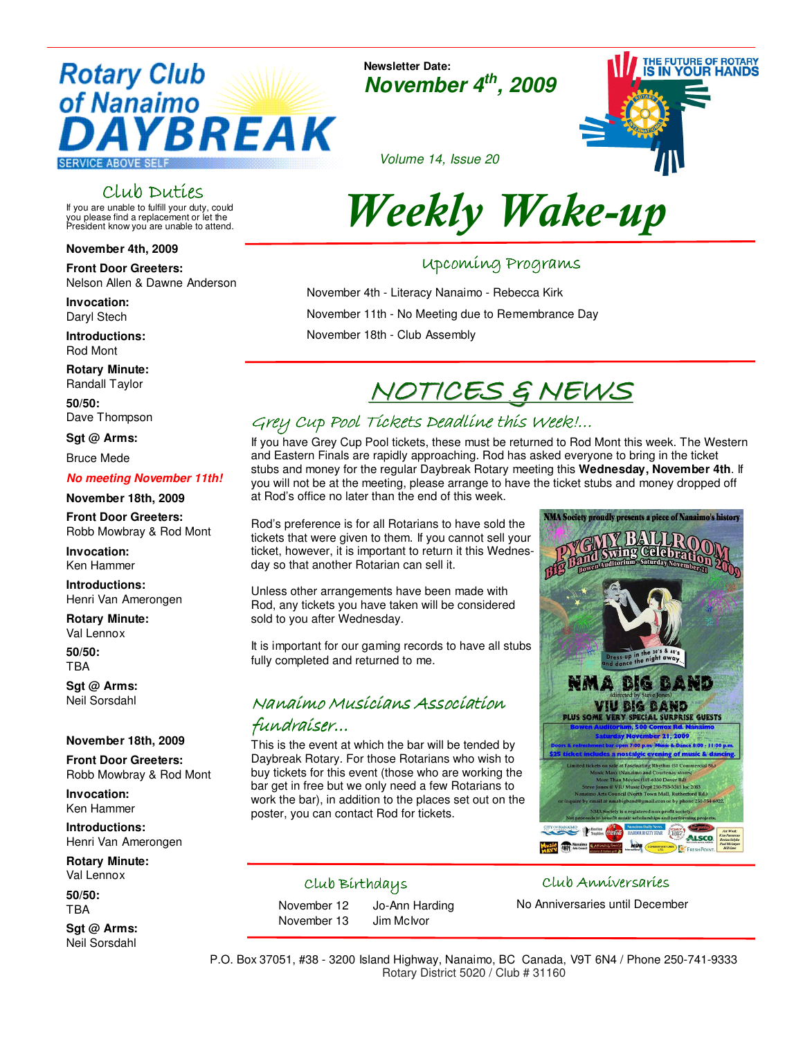# **Rotary Club** of Nanaimo YBREAK

**SERVICE ABOVE SELF** 

#### Club Duties

If you are unable to fulfill your duty, could you please find a replacement or let the President know you are unable to attend.

#### **November 4th, 2009**

**Front Door Greeters:**  Nelson Allen & Dawne Anderson

**Invocation:**  Daryl Stech

**Introductions:** Rod Mont

**Rotary Minute:** Randall Taylor

**50/50:** Dave Thompson

**Sgt @ Arms:** 

Bruce Mede

#### **No meeting November 11th!**

#### **November 18th, 2009**

**Front Door Greeters:**  Robb Mowbray & Rod Mont

**Invocation:**  Ken Hammer

**Introductions:** Henri Van Amerongen

**Rotary Minute:** Val Lennox

**50/50:** TBA

**Sgt @ Arms:** Neil Sorsdahl

#### **November 18th, 2009**

**Front Door Greeters:**  Robb Mowbray & Rod Mont

**Invocation:**  Ken Hammer

**Introductions:** Henri Van Amerongen

**Rotary Minute:** Val Lennox

**50/50:** TBA

**Sgt @ Arms:** Neil Sorsdahl

**Newsletter Date: November 4th, 2009**



Volume 14, Issue 20

# Weekly Wake-up

#### Upcoming Programs Upcoming Programs

November 4th - Literacy Nanaimo - Rebecca Kirk November 11th - No Meeting due to Remembrance Day November 18th - Club Assembly

## NOTICES & NEWS

#### Grey Cup Pool Tickets Deadline this Week!...

If you have Grey Cup Pool tickets, these must be returned to Rod Mont this week. The Western and Eastern Finals are rapidly approaching. Rod has asked everyone to bring in the ticket stubs and money for the regular Daybreak Rotary meeting this **Wednesday, November 4th**. If you will not be at the meeting, please arrange to have the ticket stubs and money dropped off at Rod's office no later than the end of this week.

Rod's preference is for all Rotarians to have sold the tickets that were given to them. If you cannot sell your ticket, however, it is important to return it this Wednesday so that another Rotarian can sell it.

Unless other arrangements have been made with Rod, any tickets you have taken will be considered sold to you after Wednesday.

It is important for our gaming records to have all stubs fully completed and returned to me.

### Nanaimo Musicians Association

#### fundraiser…

This is the event at which the bar will be tended by Daybreak Rotary. For those Rotarians who wish to buy tickets for this event (those who are working the bar get in free but we only need a few Rotarians to work the bar), in addition to the places set out on the poster, you can contact Rod for tickets.

# NMA DIG BAND VIU BIG BAND Imp ALSCO.

NMA Society proudly presents a piece of Nanaimo's history

#### Club Birthdays

November 13 Jim McIvor

November 12 Jo-Ann Harding

#### Club Anniversaries

No Anniversaries until December

P.O. Box 37051, #38 - 3200 Island Highway, Nanaimo, BC Canada, V9T 6N4 / Phone 250-741-9333 Rotary District 5020 / Club # 31160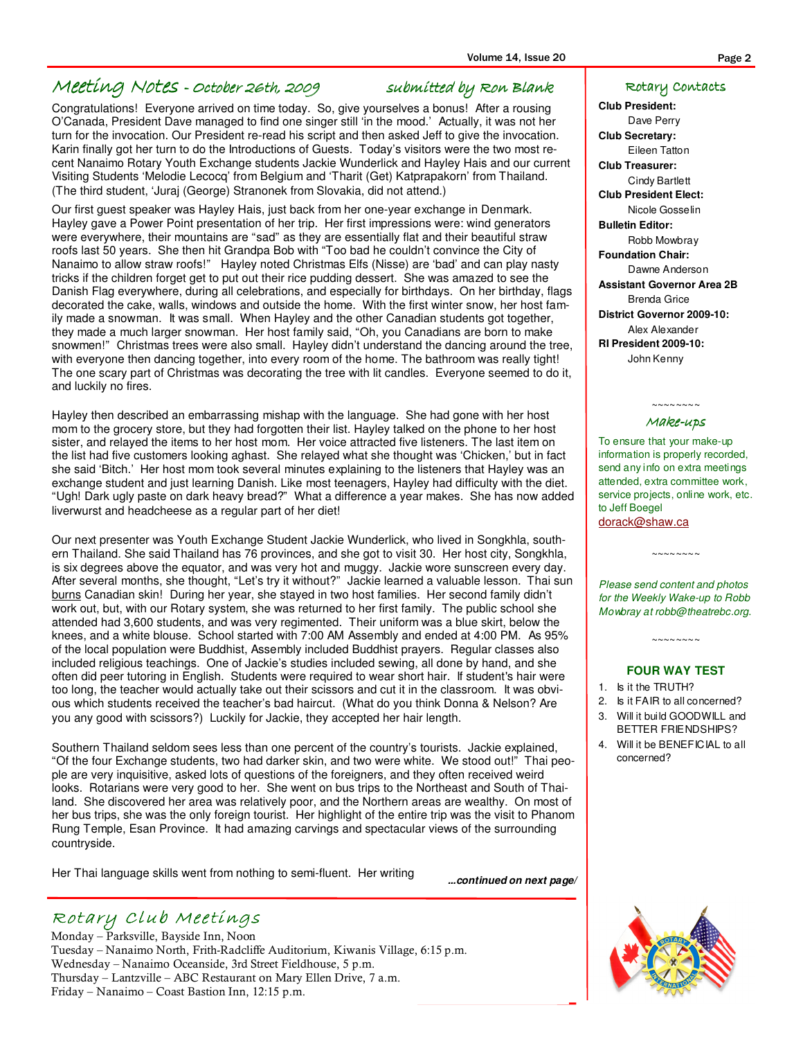#### Meeting Notes - October 26th, 2009 26th, 2009 2009 submitted by Ron Blank by Ron Blank

Congratulations! Everyone arrived on time today. So, give yourselves a bonus! After a rousing O'Canada, President Dave managed to find one singer still 'in the mood.' Actually, it was not her turn for the invocation. Our President re-read his script and then asked Jeff to give the invocation. Karin finally got her turn to do the Introductions of Guests. Today's visitors were the two most recent Nanaimo Rotary Youth Exchange students Jackie Wunderlick and Hayley Hais and our current Visiting Students 'Melodie Lecocq' from Belgium and 'Tharit (Get) Katprapakorn' from Thailand. (The third student, 'Juraj (George) Stranonek from Slovakia, did not attend.)

Our first guest speaker was Hayley Hais, just back from her one-year exchange in Denmark. Hayley gave a Power Point presentation of her trip. Her first impressions were: wind generators were everywhere, their mountains are "sad" as they are essentially flat and their beautiful straw roofs last 50 years. She then hit Grandpa Bob with "Too bad he couldn't convince the City of Nanaimo to allow straw roofs!" Hayley noted Christmas Elfs (Nisse) are 'bad' and can play nasty tricks if the children forget get to put out their rice pudding dessert. She was amazed to see the Danish Flag everywhere, during all celebrations, and especially for birthdays. On her birthday, flags decorated the cake, walls, windows and outside the home. With the first winter snow, her host family made a snowman. It was small. When Hayley and the other Canadian students got together, they made a much larger snowman. Her host family said, "Oh, you Canadians are born to make snowmen!" Christmas trees were also small. Hayley didn't understand the dancing around the tree, with everyone then dancing together, into every room of the home. The bathroom was really tight! The one scary part of Christmas was decorating the tree with lit candles. Everyone seemed to do it, and luckily no fires.

Hayley then described an embarrassing mishap with the language. She had gone with her host mom to the grocery store, but they had forgotten their list. Hayley talked on the phone to her host sister, and relayed the items to her host mom. Her voice attracted five listeners. The last item on the list had five customers looking aghast. She relayed what she thought was 'Chicken,' but in fact she said 'Bitch.' Her host mom took several minutes explaining to the listeners that Hayley was an exchange student and just learning Danish. Like most teenagers, Hayley had difficulty with the diet. "Ugh! Dark ugly paste on dark heavy bread?" What a difference a year makes. She has now added liverwurst and headcheese as a regular part of her diet!

Our next presenter was Youth Exchange Student Jackie Wunderlick, who lived in Songkhla, southern Thailand. She said Thailand has 76 provinces, and she got to visit 30. Her host city, Songkhla, is six degrees above the equator, and was very hot and muggy. Jackie wore sunscreen every day. After several months, she thought, "Let's try it without?" Jackie learned a valuable lesson. Thai sun burns Canadian skin! During her year, she stayed in two host families. Her second family didn't work out, but, with our Rotary system, she was returned to her first family. The public school she attended had 3,600 students, and was very regimented. Their uniform was a blue skirt, below the knees, and a white blouse. School started with 7:00 AM Assembly and ended at 4:00 PM. As 95% of the local population were Buddhist, Assembly included Buddhist prayers. Regular classes also included religious teachings. One of Jackie's studies included sewing, all done by hand, and she often did peer tutoring in English. Students were required to wear short hair. If student's hair were too long, the teacher would actually take out their scissors and cut it in the classroom. It was obvious which students received the teacher's bad haircut. (What do you think Donna & Nelson? Are you any good with scissors?) Luckily for Jackie, they accepted her hair length.

Southern Thailand seldom sees less than one percent of the country's tourists. Jackie explained, "Of the four Exchange students, two had darker skin, and two were white. We stood out!" Thai people are very inquisitive, asked lots of questions of the foreigners, and they often received weird looks. Rotarians were very good to her. She went on bus trips to the Northeast and South of Thailand. She discovered her area was relatively poor, and the Northern areas are wealthy. On most of her bus trips, she was the only foreign tourist. Her highlight of the entire trip was the visit to Phanom Rung Temple, Esan Province. It had amazing carvings and spectacular views of the surrounding countryside.

Her Thai language skills went from nothing to semi-fluent. Her writing

**...continued on next page/** 

#### Rotary Club Meetings

Monday – Parksville, Bayside Inn, Noon Tuesday – Nanaimo North, Frith-Radcliffe Auditorium, Kiwanis Village, 6:15 p.m. Wednesday – Nanaimo Oceanside, 3rd Street Fieldhouse, 5 p.m. Thursday – Lantzville – ABC Restaurant on Mary Ellen Drive, 7 a.m. Friday – Nanaimo – Coast Bastion Inn, 12:15 p.m.

#### Rotary Contacts

**Club President:**  Dave Perry **Club Secretary:**  Eileen Tatton **Club Treasurer:**  Cindy Bartlett **Club President Elect:**  Nicole Gosselin **Bulletin Editor:**  Robb Mowbray **Foundation Chair:**  Dawne Anderson **Assistant Governor Area 2B**  Brenda Grice **District Governor 2009-10:**  Alex Alexander **RI President 2009-10:**  John Kenny

#### ~~~~~~~~ Make-ups

To ensure that your make-up information is properly recorded, send any info on extra meetings attended, extra committee work, service projects, online work, etc. to Jeff Boegel dorack@shaw.ca

Please send content and photos for the Weekly Wake-up to Robb Mowbray at robb@theatrebc.org.

~~~~~~~~~~

#### **FOUR WAY TEST**

 $\sim\sim\sim\sim\sim\sim\sim$ 

- 1. Is it the TRUTH?
- 2. Is it FAIR to all concerned?
- 3. Will it build GOODWILL and BETTER FRIENDSHIPS?
- 4. Will it be BENEFICIAL to all concerned?